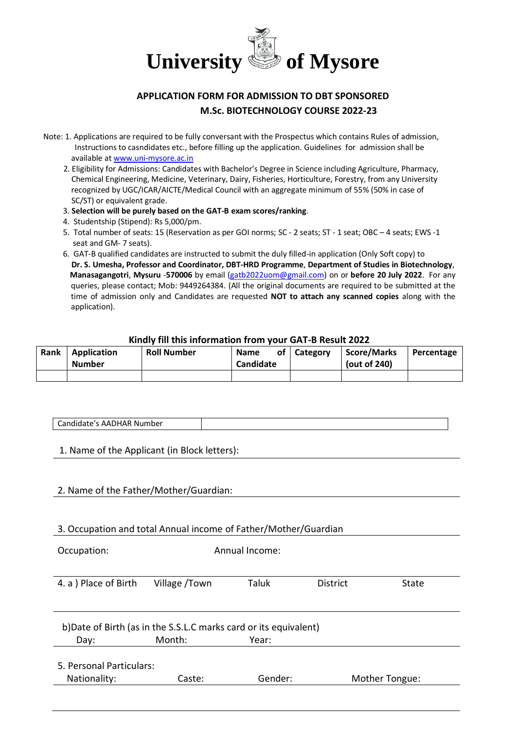

# **APPLICATION FORM FOR ADMISSION TO DBT SPONSORED M.Sc. BIOTECHNOLOGY COURSE 2022-23**

- Note: 1. Applications are required to be fully conversant with the Prospectus which contains Rules of admission, Instructions to casndidates etc., before filling up the application. Guidelines for admission shall be available a[t www.uni-mysore.ac.in](http://www.uni-mysore.ac.in/)
	- 2. Eligibility for Admissions: Candidates with Bachelor's Degree in Science including Agriculture, Pharmacy, Chemical Engineering, Medicine, Veterinary, Dairy, Fisheries, Horticulture, Forestry, from any University recognized by UGC/ICAR/AICTE/Medical Council with an aggregate minimum of 55% (50% in case of SC/ST) or equivalent grade.
	- 3. **Selection will be purely based on the GAT-B exam scores/ranking**.
	- 4. Studentship (Stipend): Rs 5,000/pm.
	- 5. Total number of seats: 15 (Reservation as per GOI norms; SC 2 seats; ST 1 seat; OBC 4 seats; EWS -1 seat and GM- 7 seats).
	- 6. GAT-B qualified candidates are instructed to submit the duly filled-in application (Only Soft copy) to **Dr. S. Umesha, Professor and Coordinator, DBT-HRD Programme**, **Department of Studies in Biotechnology**, **Manasagangotri**, **Mysuru** -**570006** by email [\(gatb2022uom@gmail.com\)](mailto:gatb2022uom@gmail.com) on or **before 20 July 2022**. For any queries, please contact; Mob: 9449264384. (All the original documents are required to be submitted at the time of admission only and Candidates are requested **NOT to attach any scanned copies** along with the application).

# **Kindly fill this information from your GAT-B Result 2022**

| Rank | Application<br><b>Number</b> | <b>Roll Number</b> | <b>Name</b><br>Candidate | of   Category | <b>Score/Marks</b><br>(out of 240) | Percentage |
|------|------------------------------|--------------------|--------------------------|---------------|------------------------------------|------------|
|      |                              |                    |                          |               |                                    |            |

#### Candidate's AADHAR Number

1. Name of the Applicant (in Block letters):

### 2. Name of the Father/Mother/Guardian:

### 3. Occupation and total Annual income of Father/Mother/Guardian

| Occupation:                                                                                  |               | Annual Income: |                 |       |  |  |  |
|----------------------------------------------------------------------------------------------|---------------|----------------|-----------------|-------|--|--|--|
| 4. a ) Place of Birth                                                                        | Village /Town | <b>Taluk</b>   | <b>District</b> | State |  |  |  |
| b) Date of Birth (as in the S.S.L.C marks card or its equivalent)<br>Month:<br>Year:<br>Day: |               |                |                 |       |  |  |  |
| 5. Personal Particulars:<br>Gender:<br>Nationality:<br>Mother Tongue:<br>Caste:              |               |                |                 |       |  |  |  |